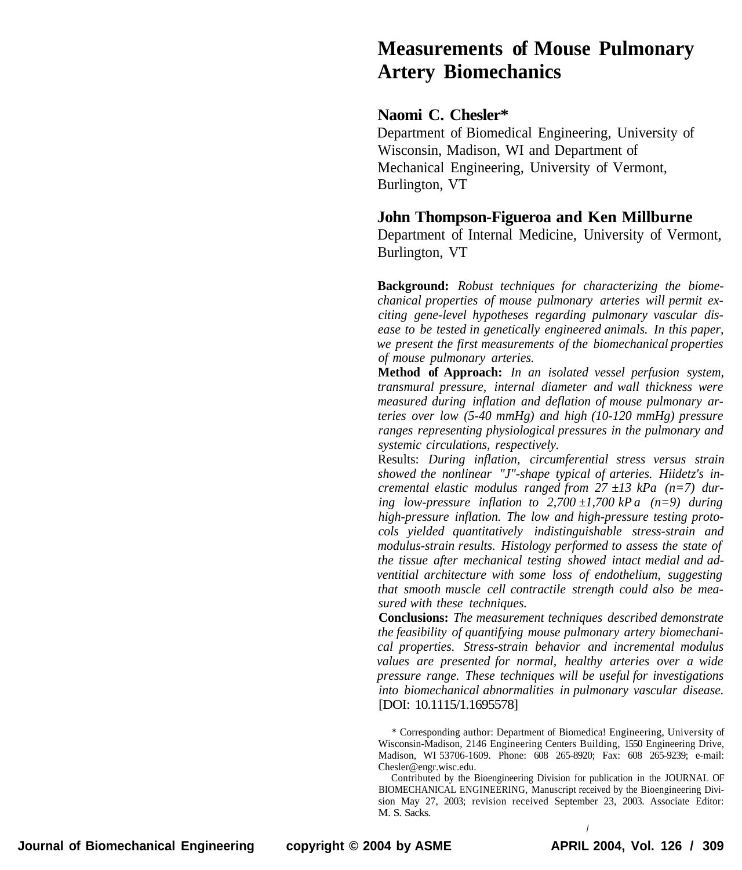# **Measurements of Mouse Pulmonary Artery Biomechanics**

# **Naomi C. Chesler\***

Department of Biomedical Engineering, University of Wisconsin, Madison, WI and Department of Mechanical Engineering, University of Vermont, Burlington, VT

# **John Thompson-Figueroa and Ken Millburne**

Department of Internal Medicine, University of Vermont, Burlington, VT

**Background:** *Robust techniques for characterizing the biomechanical properties of mouse pulmonary arteries will permit exciting gene-level hypotheses regarding pulmonary vascular disease to be tested in genetically engineered animals. In this paper, we present the first measurements of the biomechanical properties of mouse pulmonary arteries.*

**Method of Approach:** *In an isolated vessel perfusion system, transmural pressure, internal diameter and wall thickness were measured during inflation and deflation of mouse pulmonary arteries over low (5-40 mmHg) and high (10-120 mmHg) pressure ranges representing physiological pressures in the pulmonary and systemic circulations, respectively.*

Results: *During inflation, circumferential stress versus strain showed the nonlinear "J"-shape typical of arteries. Hiidetz's incremental elastic modulus ranged from 27 ±13 kPa (n=7) during low-pressure inflation to 2,700 ±1,700 kP a (n=9) during high-pressure inflation. The low and high-pressure testing protocols yielded quantitatively indistinguishable stress-strain and modulus-strain results. Histology performed to assess the state of the tissue after mechanical testing showed intact medial and adventitial architecture with some loss of endothelium, suggesting that smooth muscle cell contractile strength could also be measured with these techniques.*

**Conclusions:** *The measurement techniques described demonstrate the feasibility of quantifying mouse pulmonary artery biomechanical properties. Stress-strain behavior and incremental modulus values are presented for normal, healthy arteries over a wide pressure range. These techniques will be useful for investigations into biomechanical abnormalities in pulmonary vascular disease.* [DOI: 10.1115/1.1695578]

/

<sup>\*</sup> Corresponding author: Department of Biomedica! Engineering, University of Wisconsin-Madison, 2146 Engineering Centers Building, 1550 Engineering Drive, Madison, WI 53706-1609. Phone: 608 265-8920; Fax: 608 265-9239; e-mail: Chesler@engr.wisc.edu.

Contributed by the Bioengineering Division for publication in the JOURNAL OF BIOMECHANICAL ENGINEERING, Manuscript received by the Bioengineering Division May 27, 2003; revision received September 23, 2003. Associate Editor: M. S. Sacks.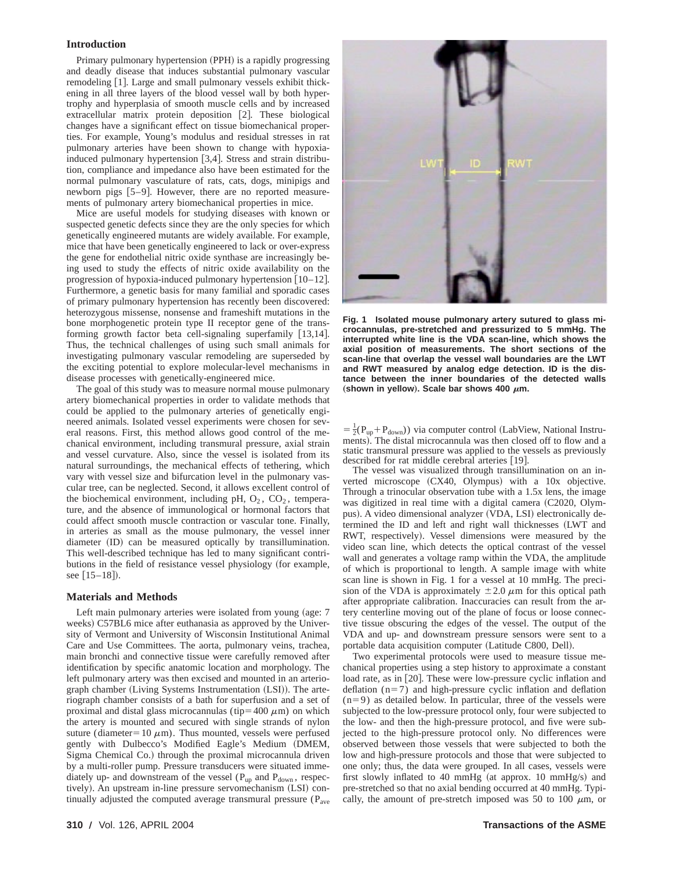## **Introduction**

Primary pulmonary hypertension (PPH) is a rapidly progressing and deadly disease that induces substantial pulmonary vascular remodeling [1]. Large and small pulmonary vessels exhibit thickening in all three layers of the blood vessel wall by both hypertrophy and hyperplasia of smooth muscle cells and by increased extracellular matrix protein deposition [2]. These biological changes have a significant effect on tissue biomechanical properties. For example, Young's modulus and residual stresses in rat pulmonary arteries have been shown to change with hypoxiainduced pulmonary hypertension  $[3,4]$ . Stress and strain distribution, compliance and impedance also have been estimated for the normal pulmonary vasculature of rats, cats, dogs, minipigs and newborn pigs [5–9]. However, there are no reported measurements of pulmonary artery biomechanical properties in mice.

Mice are useful models for studying diseases with known or suspected genetic defects since they are the only species for which genetically engineered mutants are widely available. For example, mice that have been genetically engineered to lack or over-express the gene for endothelial nitric oxide synthase are increasingly being used to study the effects of nitric oxide availability on the progression of hypoxia-induced pulmonary hypertension  $[10-12]$ . Furthermore, a genetic basis for many familial and sporadic cases of primary pulmonary hypertension has recently been discovered: heterozygous missense, nonsense and frameshift mutations in the bone morphogenetic protein type II receptor gene of the transforming growth factor beta cell-signaling superfamily  $[13,14]$ . Thus, the technical challenges of using such small animals for investigating pulmonary vascular remodeling are superseded by the exciting potential to explore molecular-level mechanisms in disease processes with genetically-engineered mice.

The goal of this study was to measure normal mouse pulmonary artery biomechanical properties in order to validate methods that could be applied to the pulmonary arteries of genetically engineered animals. Isolated vessel experiments were chosen for several reasons. First, this method allows good control of the mechanical environment, including transmural pressure, axial strain and vessel curvature. Also, since the vessel is isolated from its natural surroundings, the mechanical effects of tethering, which vary with vessel size and bifurcation level in the pulmonary vascular tree, can be neglected. Second, it allows excellent control of the biochemical environment, including pH,  $O_2$ ,  $CO_2$ , temperature, and the absence of immunological or hormonal factors that could affect smooth muscle contraction or vascular tone. Finally, in arteries as small as the mouse pulmonary, the vessel inner diameter (ID) can be measured optically by transillumination. This well-described technique has led to many significant contributions in the field of resistance vessel physiology (for example, see  $[15-18]$ .

## **Materials and Methods**

Left main pulmonary arteries were isolated from young (age: 7 weeks) C57BL6 mice after euthanasia as approved by the University of Vermont and University of Wisconsin Institutional Animal Care and Use Committees. The aorta, pulmonary veins, trachea, main bronchi and connective tissue were carefully removed after identification by specific anatomic location and morphology. The left pulmonary artery was then excised and mounted in an arteriograph chamber (Living Systems Instrumentation (LSI)). The arteriograph chamber consists of a bath for superfusion and a set of proximal and distal glass microcannulas (tip=400  $\mu$ m) on which the artery is mounted and secured with single strands of nylon suture (diameter=10  $\mu$ m). Thus mounted, vessels were perfused gently with Dulbecco's Modified Eagle's Medium (DMEM, Sigma Chemical Co.) through the proximal microcannula driven by a multi-roller pump. Pressure transducers were situated immediately up- and downstream of the vessel ( $P_{up}$  and  $P_{down}$ , respectively). An upstream in-line pressure servomechanism (LSI) continually adjusted the computed average transmural pressure  $(P_{ave}$ 



**Fig. 1 Isolated mouse pulmonary artery sutured to glass microcannulas, pre-stretched and pressurized to 5 mmHg. The interrupted white line is the VDA scan-line, which shows the axial position of measurements. The short sections of the scan-line that overlap the vessel wall boundaries are the LWT and RWT measured by analog edge detection. ID is the distance between the inner boundaries of the detected walls** (shown in yellow). Scale bar shows 400  $\mu$ m.

 $= \frac{1}{2}(P_{up} + P_{down})$ ) via computer control (LabView, National Instruments). The distal microcannula was then closed off to flow and a static transmural pressure was applied to the vessels as previously described for rat middle cerebral arteries  $[19]$ .

The vessel was visualized through transillumination on an inverted microscope  $(CX40,$  Olympus) with a  $10x$  objective. Through a trinocular observation tube with a 1.5x lens, the image was digitized in real time with a digital camera  $(C2020, Olym$ pus). A video dimensional analyzer (VDA, LSI) electronically determined the ID and left and right wall thicknesses (LWT and RWT, respectively). Vessel dimensions were measured by the video scan line, which detects the optical contrast of the vessel wall and generates a voltage ramp within the VDA, the amplitude of which is proportional to length. A sample image with white scan line is shown in Fig. 1 for a vessel at 10 mmHg. The precision of the VDA is approximately  $\pm 2.0 \mu$ m for this optical path after appropriate calibration. Inaccuracies can result from the artery centerline moving out of the plane of focus or loose connective tissue obscuring the edges of the vessel. The output of the VDA and up- and downstream pressure sensors were sent to a portable data acquisition computer (Latitude C800, Dell).

Two experimental protocols were used to measure tissue mechanical properties using a step history to approximate a constant load rate, as in [20]. These were low-pressure cyclic inflation and deflation  $(n=7)$  and high-pressure cyclic inflation and deflation  $(n=9)$  as detailed below. In particular, three of the vessels were subjected to the low-pressure protocol only, four were subjected to the low- and then the high-pressure protocol, and five were subjected to the high-pressure protocol only. No differences were observed between those vessels that were subjected to both the low and high-pressure protocols and those that were subjected to one only; thus, the data were grouped. In all cases, vessels were first slowly inflated to 40 mmHg (at approx. 10 mmHg/s) and pre-stretched so that no axial bending occurred at 40 mmHg. Typically, the amount of pre-stretch imposed was 50 to 100  $\mu$ m, or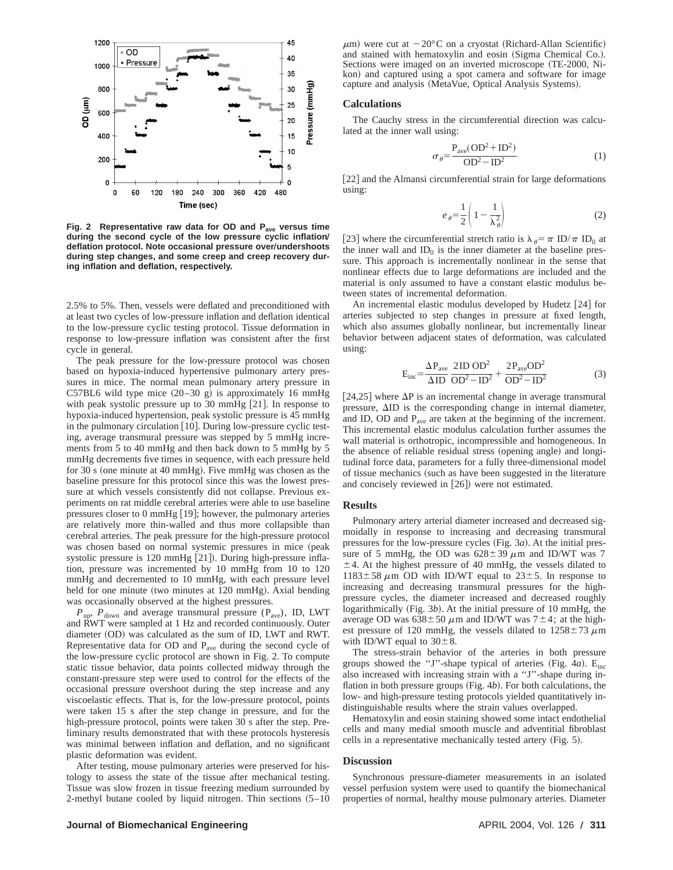

**Fig. 2 Representative raw data for OD and Pave versus time** during the second cycle of the low pressure cyclic inflation/ deflation protocol. Note occasional pressure over/undershoots **during step changes, and some creep and creep recovery during inflation and deflation, respectively.**

2.5% to 5%. Then, vessels were deflated and preconditioned with at least two cycles of low-pressure inflation and deflation identical to the low-pressure cyclic testing protocol. Tissue deformation in response to low-pressure inflation was consistent after the first cycle in general.

The peak pressure for the low-pressure protocol was chosen based on hypoxia-induced hypertensive pulmonary artery pressures in mice. The normal mean pulmonary artery pressure in C57BL6 wild type mice  $(20-30 g)$  is approximately 16 mmHg with peak systolic pressure up to  $30 \text{ mmHg}$  [21]. In response to hypoxia-induced hypertension, peak systolic pressure is 45 mmHg in the pulmonary circulation  $[10]$ . During low-pressure cyclic testing, average transmural pressure was stepped by 5 mmHg increments from 5 to 40 mmHg and then back down to 5 mmHg by 5 mmHg decrements five times in sequence, with each pressure held for 30 s (one minute at 40 mmHg). Five mmHg was chosen as the baseline pressure for this protocol since this was the lowest pressure at which vessels consistently did not collapse. Previous experiments on rat middle cerebral arteries were able to use baseline pressures closer to 0 mmHg  $[19]$ ; however, the pulmonary arteries are relatively more thin-walled and thus more collapsible than cerebral arteries. The peak pressure for the high-pressure protocol was chosen based on normal systemic pressures in mice (peak systolic pressure is  $120 \text{ mmHg}$  [21]). During high-pressure inflation, pressure was incremented by 10 mmHg from 10 to 120 mmHg and decremented to 10 mmHg, with each pressure level held for one minute (two minutes at 120 mmHg). Axial bending was occasionally observed at the highest pressures.

 $P_{\text{up}}$ ,  $P_{\text{down}}$  and average transmural pressure ( $P_{\text{ave}}$ ), ID, LWT and RWT were sampled at 1 Hz and recorded continuously. Outer diameter (OD) was calculated as the sum of ID, LWT and RWT. Representative data for OD and  $P_{ave}$  during the second cycle of the low-pressure cyclic protocol are shown in Fig. 2. To compute static tissue behavior, data points collected midway through the constant-pressure step were used to control for the effects of the occasional pressure overshoot during the step increase and any viscoelastic effects. That is, for the low-pressure protocol, points were taken 15 s after the step change in pressure, and for the high-pressure protocol, points were taken 30 s after the step. Preliminary results demonstrated that with these protocols hysteresis was minimal between inflation and deflation, and no significant plastic deformation was evident.

After testing, mouse pulmonary arteries were preserved for histology to assess the state of the tissue after mechanical testing. Tissue was slow frozen in tissue freezing medium surrounded by 2-methyl butane cooled by liquid nitrogen. Thin sections  $(5-10)$ 

 $\mu$ m) were cut at  $-20^{\circ}$ C on a cryostat (Richard-Allan Scientific) and stained with hematoxylin and eosin (Sigma Chemical Co.). Sections were imaged on an inverted microscope (TE-2000, Nikon) and captured using a spot camera and software for image capture and analysis (MetaVue, Optical Analysis Systems).

#### **Calculations**

The Cauchy stress in the circumferential direction was calculated at the inner wall using:

$$
\sigma_{\theta} = \frac{P_{\text{ave}}(\text{OD}^2 + \text{ID}^2)}{\text{OD}^2 - \text{ID}^2}
$$
 (1)

[22] and the Almansi circumferential strain for large deformations using:

$$
e_{\theta} = \frac{1}{2} \left( 1 - \frac{1}{\lambda_{\theta}^2} \right) \tag{2}
$$

[23] where the circumferential stretch ratio is  $\lambda_{\theta} = \pi$  ID/ $\pi$  ID<sub>0</sub> at the inner wall and  $ID_0$  is the inner diameter at the baseline pressure. This approach is incrementally nonlinear in the sense that nonlinear effects due to large deformations are included and the material is only assumed to have a constant elastic modulus between states of incremental deformation.

An incremental elastic modulus developed by Hudetz  $[24]$  for arteries subjected to step changes in pressure at fixed length, which also assumes globally nonlinear, but incrementally linear behavior between adjacent states of deformation, was calculated using:

$$
E_{\text{inc}} = \frac{\Delta P_{\text{ave}}}{\Delta ID} \frac{2 ID \text{ OD}^2}{\text{OD}^2 - \text{ID}^2} + \frac{2 P_{\text{ave}} \text{OD}^2}{\text{OD}^2 - \text{ID}^2}
$$
(3)

[24,25] where  $\Delta P$  is an incremental change in average transmural pressure,  $\Delta$ ID is the corresponding change in internal diameter, and ID, OD and  $P_{ave}$  are taken at the beginning of the increment. This incremental elastic modulus calculation further assumes the wall material is orthotropic, incompressible and homogeneous. In the absence of reliable residual stress (opening angle) and longitudinal force data, parameters for a fully three-dimensional model of tissue mechanics (such as have been suggested in the literature and concisely reviewed in  $[26]$ ) were not estimated.

#### **Results**

Pulmonary artery arterial diameter increased and decreased sigmoidally in response to increasing and decreasing transmural pressures for the low-pressure cycles (Fig. 3*a*). At the initial pressure of 5 mmHg, the OD was  $628 \pm 39 \mu$ m and ID/WT was 7  $\pm$  4. At the highest pressure of 40 mmHg, the vessels dilated to  $1183 \pm 58 \ \mu m$  OD with ID/WT equal to  $23 \pm 5$ . In response to increasing and decreasing transmural pressures for the highpressure cycles, the diameter increased and decreased roughly logarithmically (Fig. 3*b*). At the initial pressure of 10 mmHg, the average OD was  $638 \pm 50 \ \mu \text{m}$  and ID/WT was  $7 \pm 4$ ; at the highest pressure of 120 mmHg, the vessels dilated to  $1258 \pm 73 \ \mu m$ with ID/WT equal to  $30\pm8$ .

The stress-strain behavior of the arteries in both pressure groups showed the "J"-shape typical of arteries (Fig.  $4a$ ). E<sub>inc</sub> also increased with increasing strain with a ''J''-shape during inflation in both pressure groups  $(Fig. 4*b*)$ . For both calculations, the low- and high-pressure testing protocols yielded quantitatively indistinguishable results where the strain values overlapped.

Hematoxylin and eosin staining showed some intact endothelial cells and many medial smooth muscle and adventitial fibroblast cells in a representative mechanically tested artery (Fig. 5).

### **Discussion**

Synchronous pressure-diameter measurements in an isolated vessel perfusion system were used to quantify the biomechanical properties of normal, healthy mouse pulmonary arteries. Diameter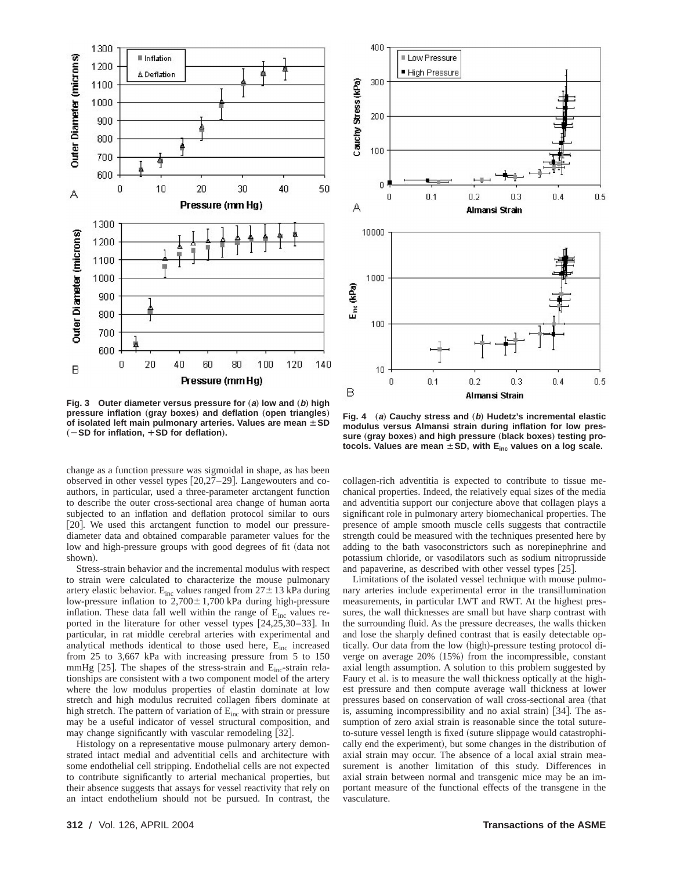

**Fig. 3** Outer diameter versus pressure for  $(a)$  low and  $(b)$  high **pressure inflation** "**gray boxes**… **and deflation** "**open triangles**… **of isolated left main pulmonary arteries. Values are mean**  $\pm$  **SD**  $(-SD$  for inflation,  $+SD$  for deflation).

change as a function pressure was sigmoidal in shape, as has been observed in other vessel types  $[20,27-29]$ . Langewouters and coauthors, in particular, used a three-parameter arctangent function to describe the outer cross-sectional area change of human aorta subjected to an inflation and deflation protocol similar to ours [20]. We used this arctangent function to model our pressurediameter data and obtained comparable parameter values for the low and high-pressure groups with good degrees of fit (data not shown).

Stress-strain behavior and the incremental modulus with respect to strain were calculated to characterize the mouse pulmonary artery elastic behavior. E<sub>inc</sub> values ranged from  $27 \pm 13$  kPa during low-pressure inflation to  $2,700 \pm 1,700$  kPa during high-pressure inflation. These data fall well within the range of  $E_{inc}$  values reported in the literature for other vessel types  $[24,25,30-33]$ . In particular, in rat middle cerebral arteries with experimental and analytical methods identical to those used here,  $E_{inc}$  increased from 25 to 3,667 kPa with increasing pressure from 5 to 150 mmHg  $[25]$ . The shapes of the stress-strain and  $E_{inc}$ -strain relationships are consistent with a two component model of the artery where the low modulus properties of elastin dominate at low stretch and high modulus recruited collagen fibers dominate at high stretch. The pattern of variation of  $E_{inc}$  with strain or pressure may be a useful indicator of vessel structural composition, and may change significantly with vascular remodeling [32].

Histology on a representative mouse pulmonary artery demonstrated intact medial and adventitial cells and architecture with some endothelial cell stripping. Endothelial cells are not expected to contribute significantly to arterial mechanical properties, but their absence suggests that assays for vessel reactivity that rely on an intact endothelium should not be pursued. In contrast, the



**Fig. 4** (a) Cauchy stress and (b) Hudetz's incremental elastic **modulus versus Almansi strain during inflation for low pres**sure (gray boxes) and high pressure (black boxes) testing protocols. Values are mean  $\pm$  SD, with  $E_{inc}$  values on a log scale.

collagen-rich adventitia is expected to contribute to tissue mechanical properties. Indeed, the relatively equal sizes of the media and adventitia support our conjecture above that collagen plays a significant role in pulmonary artery biomechanical properties. The presence of ample smooth muscle cells suggests that contractile strength could be measured with the techniques presented here by adding to the bath vasoconstrictors such as norepinephrine and potassium chloride, or vasodilators such as sodium nitroprusside and papaverine, as described with other vessel types [25].

Limitations of the isolated vessel technique with mouse pulmonary arteries include experimental error in the transillumination measurements, in particular LWT and RWT. At the highest pressures, the wall thicknesses are small but have sharp contrast with the surrounding fluid. As the pressure decreases, the walls thicken and lose the sharply defined contrast that is easily detectable optically. Our data from the low (high)-pressure testing protocol diverge on average  $20\%$   $(15\%)$  from the incompressible, constant axial length assumption. A solution to this problem suggested by Faury et al. is to measure the wall thickness optically at the highest pressure and then compute average wall thickness at lower pressures based on conservation of wall cross-sectional area (that is, assuming incompressibility and no axial strain)  $[34]$ . The assumption of zero axial strain is reasonable since the total sutureto-suture vessel length is fixed (suture slippage would catastrophically end the experiment), but some changes in the distribution of axial strain may occur. The absence of a local axial strain measurement is another limitation of this study. Differences in axial strain between normal and transgenic mice may be an important measure of the functional effects of the transgene in the vasculature.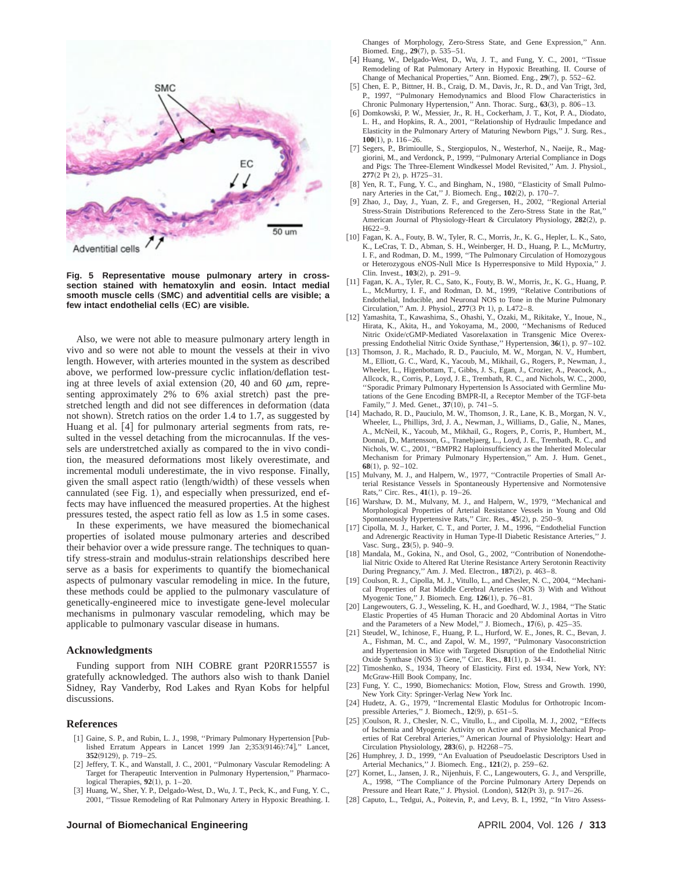

**Fig. 5 Representative mouse pulmonary artery in crosssection stained with hematoxylin and eosin. Intact medial** smooth muscle cells (SMC) and adventitial cells are visible; a **few intact endothelial cells** "**EC**… **are visible.**

Also, we were not able to measure pulmonary artery length in vivo and so were not able to mount the vessels at their in vivo length. However, with arteries mounted in the system as described above, we performed low-pressure cyclic inflation/deflation testing at three levels of axial extension  $(20, 40, 40, 60, \mu m,$  representing approximately  $2\%$  to  $6\%$  axial stretch) past the prestretched length and did not see differences in deformation (data not shown). Stretch ratios on the order 1.4 to 1.7, as suggested by Huang et al. [4] for pulmonary arterial segments from rats, resulted in the vessel detaching from the microcannulas. If the vessels are understretched axially as compared to the in vivo condition, the measured deformations most likely overestimate, and incremental moduli underestimate, the in vivo response. Finally, given the small aspect ratio (length/width) of these vessels when cannulated (see Fig. 1), and especially when pressurized, end effects may have influenced the measured properties. At the highest pressures tested, the aspect ratio fell as low as 1.5 in some cases.

In these experiments, we have measured the biomechanical properties of isolated mouse pulmonary arteries and described their behavior over a wide pressure range. The techniques to quantify stress-strain and modulus-strain relationships described here serve as a basis for experiments to quantify the biomechanical aspects of pulmonary vascular remodeling in mice. In the future, these methods could be applied to the pulmonary vasculature of genetically-engineered mice to investigate gene-level molecular mechanisms in pulmonary vascular remodeling, which may be applicable to pulmonary vascular disease in humans.

# **Acknowledgments**

Funding support from NIH COBRE grant P20RR15557 is gratefully acknowledged. The authors also wish to thank Daniel Sidney, Ray Vanderby, Rod Lakes and Ryan Kobs for helpful discussions.

## **References**

- [1] Gaine, S. P., and Rubin, L. J., 1998, "Primary Pulmonary Hypertension [Published Erratum Appears in Lancet 1999 Jan 2;353(9146):74]," Lancet, **352**(9129), p. 719-25.
- [2] Jeffery, T. K., and Wanstall, J. C., 2001, "Pulmonary Vascular Remodeling: A Target for Therapeutic Intervention in Pulmonary Hypertension,'' Pharmacological Therapies, 92(1), p. 1–20.
- [3] Huang, W., Sher, Y. P., Delgado-West, D., Wu, J. T., Peck, K., and Fung, Y. C., 2001, ''Tissue Remodeling of Rat Pulmonary Artery in Hypoxic Breathing. I.

Changes of Morphology, Zero-Stress State, and Gene Expression,'' Ann. Biomed. Eng., 29(7), p. 535-51.

- [4] Huang, W., Delgado-West, D., Wu, J. T., and Fung, Y. C., 2001, "Tissue Remodeling of Rat Pulmonary Artery in Hypoxic Breathing. II. Course of Change of Mechanical Properties," Ann. Biomed. Eng., 29(7), p. 552–62.
- [5] Chen, E. P., Bittner, H. B., Craig, D. M., Davis, Jr., R. D., and Van Trigt, 3rd, P., 1997, ''Pulmonary Hemodynamics and Blood Flow Characteristics in Chronic Pulmonary Hypertension," Ann. Thorac. Surg.,  $63(3)$ , p. 806–13.
- [6] Domkowski, P. W., Messier, Jr., R. H., Cockerham, J. T., Kot, P. A., Diodato, L. H., and Hopkins, R. A., 2001, ''Relationship of Hydraulic Impedance and Elasticity in the Pulmonary Artery of Maturing Newborn Pigs,'' J. Surg. Res., **100**(1), p. 116–26.
- [7] Segers, P., Brimioulle, S., Stergiopulos, N., Westerhof, N., Naeije, R., Maggiorini, M., and Verdonck, P., 1999, ''Pulmonary Arterial Compliance in Dogs and Pigs: The Three-Element Windkessel Model Revisited,'' Am. J. Physiol., 277(2 Pt 2), p. H725-31.
- [8] Yen, R. T., Fung, Y. C., and Bingham, N., 1980, "Elasticity of Small Pulmonary Arteries in the Cat," J. Biomech. Eng.,  $102(2)$ , p. 170-7.
- [9] Zhao, J., Day, J., Yuan, Z. F., and Gregersen, H., 2002, "Regional Arterial Stress-Strain Distributions Referenced to the Zero-Stress State in the Rat,'' American Journal of Physiology-Heart & Circulatory Physiology, 282(2), p. H622–9.
- [10] Fagan, K. A., Fouty, B. W., Tyler, R. C., Morris, Jr., K. G., Hepler, L. K., Sato, K., LeCras, T. D., Abman, S. H., Weinberger, H. D., Huang, P. L., McMurtry, I. F., and Rodman, D. M., 1999, ''The Pulmonary Circulation of Homozygous or Heterozygous eNOS-Null Mice Is Hyperresponsive to Mild Hypoxia,'' J. Clin. Invest., **103**(2), p. 291-9.
- [11] Fagan, K. A., Tyler, R. C., Sato, K., Fouty, B. W., Morris, Jr., K. G., Huang, P. L., McMurtry, I. F., and Rodman, D. M., 1999, ''Relative Contributions of Endothelial, Inducible, and Neuronal NOS to Tone in the Murine Pulmonary Circulation," Am. J. Physiol., 277(3 Pt 1), p. L472-8.
- [12] Yamashita, T., Kawashima, S., Ohashi, Y., Ozaki, M., Rikitake, Y., Inoue, N., Hirata, K., Akita, H., and Yokoyama, M., 2000, ''Mechanisms of Reduced Nitric Oxide/cGMP-Mediated Vasorelaxation in Transgenic Mice Overexpressing Endothelial Nitric Oxide Synthase," Hypertension, 36(1), p. 97-102.
- [13] Thomson, J. R., Machado, R. D., Pauciulo, M. W., Morgan, N. V., Humbert, M., Elliott, G. C., Ward, K., Yacoub, M., Mikhail, G., Rogers, P., Newman, J., Wheeler, L., Higenbottam, T., Gibbs, J. S., Egan, J., Crozier, A., Peacock, A., Allcock, R., Corris, P., Loyd, J. E., Trembath, R. C., and Nichols, W. C., 2000, ''Sporadic Primary Pulmonary Hypertension Is Associated with Germline Mutations of the Gene Encoding BMPR-II, a Receptor Member of the TGF-beta Family," J. Med. Genet.,  $37(10)$ , p. 741–5.
- [14] Machado, R. D., Pauciulo, M. W., Thomson, J. R., Lane, K. B., Morgan, N. V., Wheeler, L., Phillips, 3rd, J. A., Newman, J., Williams, D., Galie, N., Manes, A., McNeil, K., Yacoub, M., Mikhail, G., Rogers, P., Corris, P., Humbert, M., Donnai, D., Martensson, G., Tranebjaerg, L., Loyd, J. E., Trembath, R. C., and Nichols, W. C., 2001, ''BMPR2 Haploinsufficiency as the Inherited Molecular Mechanism for Primary Pulmonary Hypertension,'' Am. J. Hum. Genet., **68**(1), p. 92-102.
- [15] Mulvany, M. J., and Halpern, W., 1977, "Contractile Properties of Small Arterial Resistance Vessels in Spontaneously Hypertensive and Normotensive Rats," Circ. Res., 41(1), p. 19-26.
- [16] Warshaw, D. M., Mulvany, M. J., and Halpern, W., 1979, "Mechanical and Morphological Properties of Arterial Resistance Vessels in Young and Old Spontaneously Hypertensive Rats," Circ. Res., 45(2), p. 250-9.
- [17] Cipolla, M. J., Harker, C. T., and Porter, J. M., 1996, "Endothelial Function and Adrenergic Reactivity in Human Type-II Diabetic Resistance Arteries,'' J. Vasc. Surg., 23(5), p. 940-9.
- [18] Mandala, M., Gokina, N., and Osol, G., 2002, "Contribution of Nonendothelial Nitric Oxide to Altered Rat Uterine Resistance Artery Serotonin Reactivity During Pregnancy," Am. J. Med. Electron., **187**(2), p. 463–8.
- [19] Coulson, R. J., Cipolla, M. J., Vitullo, L., and Chesler, N. C., 2004, "Mechanical Properties of Rat Middle Cerebral Arteries (NOS 3) With and Without Myogenic Tone," J. Biomech. Eng.  $126(1)$ , p. 76-81.
- [20] Langewouters, G. J., Wesseling, K. H., and Goedhard, W. J., 1984, "The Static Elastic Properties of 45 Human Thoracic and 20 Abdominal Aortas in Vitro and the Parameters of a New Model," J. Biomech.,  $17(6)$ , p.  $425-35$ .
- [21] Steudel, W., Ichinose, F., Huang, P. L., Hurford, W. E., Jones, R. C., Bevan, J. A., Fishman, M. C., and Zapol, W. M., 1997, "Pulmonary Vasoconstriction and Hypertension in Mice with Targeted Disruption of the Endothelial Nitric Oxide Synthase (NOS 3) Gene," Circ. Res.,  $81(1)$ , p. 34-41.
- [22] Timoshenko, S., 1934, Theory of Elasticity. First ed. 1934, New York, NY: McGraw-Hill Book Company, Inc.
- [23] Fung, Y. C., 1990, Biomechanics: Motion, Flow, Stress and Growth. 1990, New York City: Springer-Verlag New York Inc.
- [24] Hudetz, A. G., 1979, "Incremental Elastic Modulus for Orthotropic Incom-<br>pressible Arteries," J. Biomech., **12** $(9)$ , p. 651–5.
- [25] |Coulson, R. J., Chesler, N. C., Vitullo, L., and Cipolla, M. J., 2002, "Effects of Ischemia and Myogenic Activity on Active and Passive Mechanical Properties of Rat Cerebral Arteries,'' American Journal of Physiololgy: Heart and Circulation Physiolology, 283(6), p. H2268-75.
- [26] Humphrey, J. D., 1999, "An Evaluation of Pseudoelastic Descriptors Used in Arterial Mechanics," J. Biomech. Eng., 121(2), p. 259–62.
- [27] Kornet, L., Jansen, J. R., Nijenhuis, F. C., Langewouters, G. J., and Versprille, A., 1998, ''The Compliance of the Porcine Pulmonary Artery Depends on Pressure and Heart Rate," J. Physiol. (London),  $512$ (Pt 3), p. 917–26.
- [28] Caputo, L., Tedgui, A., Poitevin, P., and Levy, B. I., 1992, "In Vitro Assess-